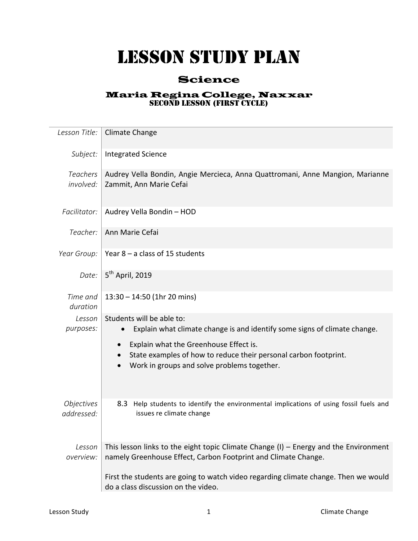## LESSON STUDY PLAN

## Science

## Maria Regina College, Naxxar SECOND LESSON (FIRST CYCLE)

| Lesson Title:                          | Climate Change                                                                                                                                            |
|----------------------------------------|-----------------------------------------------------------------------------------------------------------------------------------------------------------|
| Subject:                               | <b>Integrated Science</b>                                                                                                                                 |
| <b>Teachers</b><br>involved:           | Audrey Vella Bondin, Angie Mercieca, Anna Quattromani, Anne Mangion, Marianne<br>Zammit, Ann Marie Cefai                                                  |
| Facilitator:                           | Audrey Vella Bondin - HOD                                                                                                                                 |
| Teacher:                               | Ann Marie Cefai                                                                                                                                           |
| Year Group:                            | Year $8 - a$ class of 15 students                                                                                                                         |
| Date:                                  | 5 <sup>th</sup> April, 2019                                                                                                                               |
| Time and<br>duration                   | $13:30 - 14:50$ (1hr 20 mins)                                                                                                                             |
| Lesson<br>purposes:                    | Students will be able to:<br>Explain what climate change is and identify some signs of climate change.                                                    |
|                                        | Explain what the Greenhouse Effect is.<br>State examples of how to reduce their personal carbon footprint.<br>Work in groups and solve problems together. |
| <i><b>Objectives</b></i><br>addressed: | 8.3 Help students to identify the environmental implications of using fossil fuels and<br>issues re climate change                                        |
| Lesson<br>overview:                    | This lesson links to the eight topic Climate Change $(I)$ – Energy and the Environment<br>namely Greenhouse Effect, Carbon Footprint and Climate Change.  |
|                                        | First the students are going to watch video regarding climate change. Then we would<br>do a class discussion on the video.                                |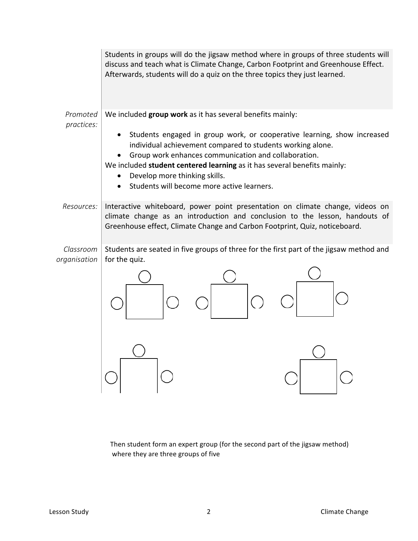|                        | Students in groups will do the jigsaw method where in groups of three students will<br>discuss and teach what is Climate Change, Carbon Footprint and Greenhouse Effect.<br>Afterwards, students will do a quiz on the three topics they just learned.                                                                                                                             |  |
|------------------------|------------------------------------------------------------------------------------------------------------------------------------------------------------------------------------------------------------------------------------------------------------------------------------------------------------------------------------------------------------------------------------|--|
| Promoted<br>practices: | We included group work as it has several benefits mainly:                                                                                                                                                                                                                                                                                                                          |  |
|                        | Students engaged in group work, or cooperative learning, show increased<br>individual achievement compared to students working alone.<br>Group work enhances communication and collaboration.<br>We included student centered learning as it has several benefits mainly:<br>Develop more thinking skills.<br>$\bullet$<br>Students will become more active learners.<br>$\bullet$ |  |
| Resources:             | Interactive whiteboard, power point presentation on climate change, videos on<br>climate change as an introduction and conclusion to the lesson, handouts of<br>Greenhouse effect, Climate Change and Carbon Footprint, Quiz, noticeboard.                                                                                                                                         |  |
| Classroom              | Students are seated in five groups of three for the first part of the jigsaw method and                                                                                                                                                                                                                                                                                            |  |
| organisation           | for the quiz.                                                                                                                                                                                                                                                                                                                                                                      |  |
|                        |                                                                                                                                                                                                                                                                                                                                                                                    |  |

Then student form an expert group (for the second part of the jigsaw method) where they are three groups of five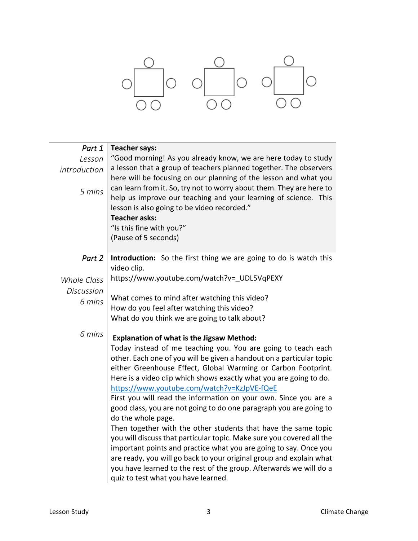

| Part 1<br>Lesson<br>introduction<br>5 mins | <b>Teacher says:</b><br>"Good morning! As you already know, we are here today to study<br>a lesson that a group of teachers planned together. The observers<br>here will be focusing on our planning of the lesson and what you<br>can learn from it. So, try not to worry about them. They are here to<br>help us improve our teaching and your learning of science. This<br>lesson is also going to be video recorded."<br><b>Teacher asks:</b><br>"Is this fine with you?"<br>(Pause of 5 seconds)                                                                                                                                                                                                                                                                                                                                                                                                                                               |
|--------------------------------------------|-----------------------------------------------------------------------------------------------------------------------------------------------------------------------------------------------------------------------------------------------------------------------------------------------------------------------------------------------------------------------------------------------------------------------------------------------------------------------------------------------------------------------------------------------------------------------------------------------------------------------------------------------------------------------------------------------------------------------------------------------------------------------------------------------------------------------------------------------------------------------------------------------------------------------------------------------------|
| Part 2                                     | Introduction: So the first thing we are going to do is watch this<br>video clip.                                                                                                                                                                                                                                                                                                                                                                                                                                                                                                                                                                                                                                                                                                                                                                                                                                                                    |
| <b>Whole Class</b>                         | https://www.youtube.com/watch?v=_UDL5VqPEXY                                                                                                                                                                                                                                                                                                                                                                                                                                                                                                                                                                                                                                                                                                                                                                                                                                                                                                         |
| <b>Discussion</b>                          |                                                                                                                                                                                                                                                                                                                                                                                                                                                                                                                                                                                                                                                                                                                                                                                                                                                                                                                                                     |
| 6 mins                                     | What comes to mind after watching this video?                                                                                                                                                                                                                                                                                                                                                                                                                                                                                                                                                                                                                                                                                                                                                                                                                                                                                                       |
|                                            | How do you feel after watching this video?                                                                                                                                                                                                                                                                                                                                                                                                                                                                                                                                                                                                                                                                                                                                                                                                                                                                                                          |
|                                            | What do you think we are going to talk about?                                                                                                                                                                                                                                                                                                                                                                                                                                                                                                                                                                                                                                                                                                                                                                                                                                                                                                       |
| 6 mins                                     | <b>Explanation of what is the Jigsaw Method:</b><br>Today instead of me teaching you. You are going to teach each<br>other. Each one of you will be given a handout on a particular topic<br>either Greenhouse Effect, Global Warming or Carbon Footprint.<br>Here is a video clip which shows exactly what you are going to do.<br>https://www.youtube.com/watch?v=KzJpVE-fQeE<br>First you will read the information on your own. Since you are a<br>good class, you are not going to do one paragraph you are going to<br>do the whole page.<br>Then together with the other students that have the same topic<br>you will discuss that particular topic. Make sure you covered all the<br>important points and practice what you are going to say. Once you<br>are ready, you will go back to your original group and explain what<br>you have learned to the rest of the group. Afterwards we will do a<br>quiz to test what you have learned. |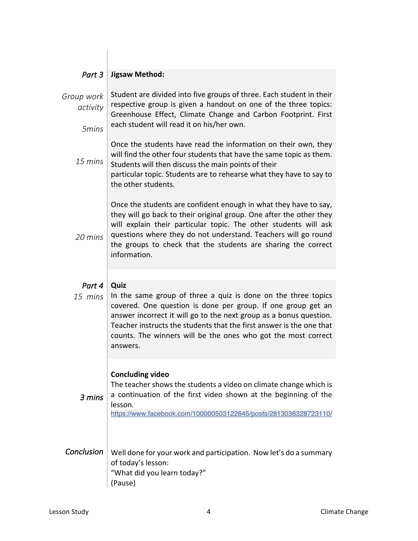| Part 3                          | <b>Jigsaw Method:</b>                                                                                                                                                                                                                                                                                                                                            |
|---------------------------------|------------------------------------------------------------------------------------------------------------------------------------------------------------------------------------------------------------------------------------------------------------------------------------------------------------------------------------------------------------------|
| Group work<br>activity<br>5mins | Student are divided into five groups of three. Each student in their<br>respective group is given a handout on one of the three topics:<br>Greenhouse Effect, Climate Change and Carbon Footprint. First<br>each student will read it on his/her own.                                                                                                            |
| $15 \, mins$                    | Once the students have read the information on their own, they<br>will find the other four students that have the same topic as them.<br>Students will then discuss the main points of their<br>particular topic. Students are to rehearse what they have to say to<br>the other students.                                                                       |
| 20 mins                         | Once the students are confident enough in what they have to say,<br>they will go back to their original group. One after the other they<br>will explain their particular topic. The other students will ask<br>questions where they do not understand. Teachers will go round<br>the groups to check that the students are sharing the correct<br>information.   |
|                                 |                                                                                                                                                                                                                                                                                                                                                                  |
| Part 4<br>15 mins               | Quiz<br>In the same group of three a quiz is done on the three topics<br>covered. One question is done per group. If one group get an<br>answer incorrect it will go to the next group as a bonus question.<br>Teacher instructs the students that the first answer is the one that<br>counts. The winners will be the ones who got the most correct<br>answers. |
| 3 mins                          | <b>Concluding video</b><br>The teacher shows the students a video on climate change which is<br>a continuation of the first video shown at the beginning of the<br>lesson.<br>https://www.facebook.com/100000503122645/posts/2813036328723110/                                                                                                                   |
| Conclusion                      | Well done for your work and participation. Now let's do a summary<br>of today's lesson:<br>"What did you learn today?"<br>(Pause)                                                                                                                                                                                                                                |